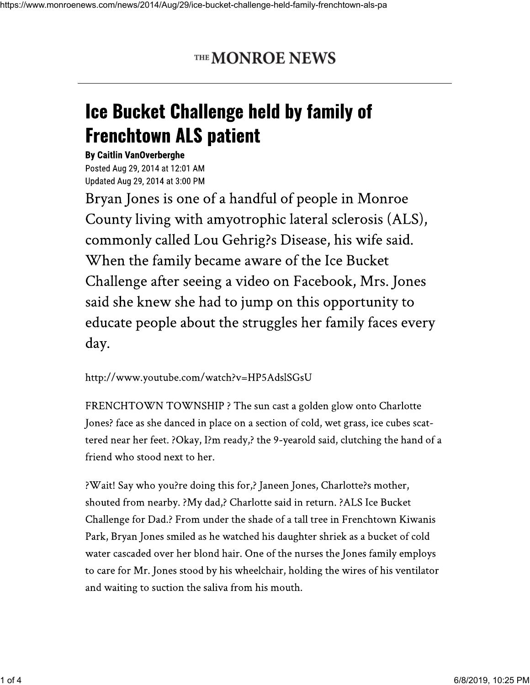## THE MONROE NEWS

## **Ice Bucket Challenge held by family of Frenchtown ALS patient**

**By Caitlin VanOverberghe** Posted Aug 29, 2014 at 12:01 AM Updated Aug 29, 2014 at 3:00 PM

Bryan Jones is one of a handful of people in Monroe County living with amyotrophic lateral sclerosis (ALS), commonly called Lou Gehrig?s Disease, his wife said. When the family became aware of the Ice Bucket Challenge after seeing a video on Facebook, Mrs. Jones said she knew she had to jump on this opportunity to educate people about the struggles her family faces every day.

## http://www.youtube.com/watch?v=HP5AdslSGsU

FRENCHTOWN TOWNSHIP ? The sun cast a golden glow onto Charlotte Jones? face as she danced in place on a section of cold, wet grass, ice cubes scattered near her feet. ?Okay, I?m ready,? the 9-yearold said, clutching the hand of a friend who stood next to her.

?Wait! Say who you?re doing this for,? Janeen Jones, Charlotte?s mother, shouted from nearby. ?My dad,? Charlotte said in return. ?ALS Ice Bucket Challenge for Dad.? From under the shade of a tall tree in Frenchtown Kiwanis Park, Bryan Jones smiled as he watched his daughter shriek as a bucket of cold water cascaded over her blond hair. One of the nurses the Jones family employs to care for Mr. Jones stood by his wheelchair, holding the wires of his ventilator and waiting to suction the saliva from his mouth.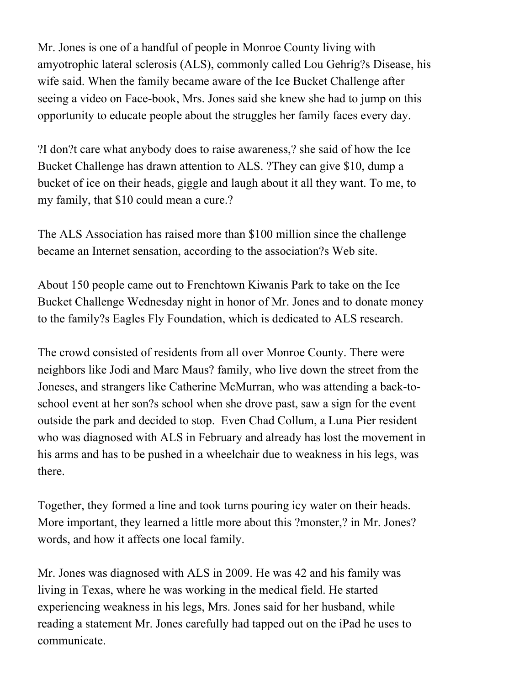Mr. Jones is one of a handful of people in Monroe County living with amyotrophic lateral sclerosis (ALS), commonly called Lou Gehrig?s Disease, his wife said. When the family became aware of the Ice Bucket Challenge after seeing a video on Face-book, Mrs. Jones said she knew she had to jump on this opportunity to educate people about the struggles her family faces every day.

?I don?t care what anybody does to raise awareness,? she said of how the Ice Bucket Challenge has drawn attention to ALS. ?They can give \$10, dump a bucket of ice on their heads, giggle and laugh about it all they want. To me, to my family, that \$10 could mean a cure.?

The ALS Association has raised more than \$100 million since the challenge became an Internet sensation, according to the association?s Web site.

About 150 people came out to Frenchtown Kiwanis Park to take on the Ice Bucket Challenge Wednesday night in honor of Mr. Jones and to donate money to the family?s Eagles Fly Foundation, which is dedicated to ALS research.

The crowd consisted of residents from all over Monroe County. There were neighbors like Jodi and Marc Maus? family, who live down the street from the Joneses, and strangers like Catherine McMurran, who was attending a back-toschool event at her son?s school when she drove past, saw a sign for the event outside the park and decided to stop. Even Chad Collum, a Luna Pier resident who was diagnosed with ALS in February and already has lost the movement in his arms and has to be pushed in a wheelchair due to weakness in his legs, was there.

Together, they formed a line and took turns pouring icy water on their heads. More important, they learned a little more about this ?monster,? in Mr. Jones? words, and how it affects one local family.

Mr. Jones was diagnosed with ALS in 2009. He was 42 and his family was living in Texas, where he was working in the medical field. He started experiencing weakness in his legs, Mrs. Jones said for her husband, while reading a statement Mr. Jones carefully had tapped out on the iPad he uses to communicate.